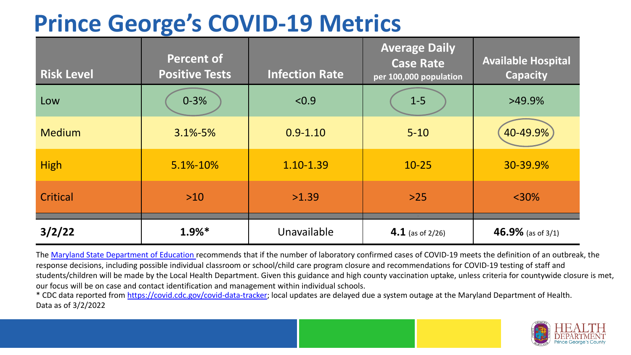## **Prince George's COVID-19 Metrics**

| <b>Risk Level</b> | <b>Percent of</b><br><b>Positive Tests</b> | <b>Infection Rate</b> | <b>Average Daily</b><br><b>Case Rate</b><br>per 100,000 population | <b>Available Hospital</b><br><b>Capacity</b> |
|-------------------|--------------------------------------------|-----------------------|--------------------------------------------------------------------|----------------------------------------------|
| Low               | $0 - 3%$                                   | < 0.9                 | $1-5$                                                              | $>49.9\%$                                    |
| <b>Medium</b>     | $3.1\% - 5\%$                              | $0.9 - 1.10$          | $5 - 10$                                                           | 40-49.9%                                     |
| <b>High</b>       | 5.1%-10%                                   | 1.10-1.39             | $10 - 25$                                                          | 30-39.9%                                     |
| Critical          | $>10$                                      | >1.39                 | $>25$                                                              | $<$ 30%                                      |
| 3/2/22            | $1.9%$ <sup>*</sup>                        | Unavailable           | 4.1 (as of $2/26$ )                                                | 46.9% (as of 3/1)                            |

The [Maryland State Department of Education](https://earlychildhood.marylandpublicschools.org/system/files/filedepot/3/covid_guidance_full_080420.pdf) recommends that if the number of laboratory confirmed cases of COVID-19 meets the definition of an outbreak, the response decisions, including possible individual classroom or school/child care program closure and recommendations for COVID-19 testing of staff and students/children will be made by the Local Health Department. Given this guidance and high county vaccination uptake, unless criteria for countywide closure is met, our focus will be on case and contact identification and management within individual schools.

\* CDC data reported from <https://covid.cdc.gov/covid-data-tracker>; local updates are delayed due a system outage at the Maryland Department of Health. Data as of 3/2/2022

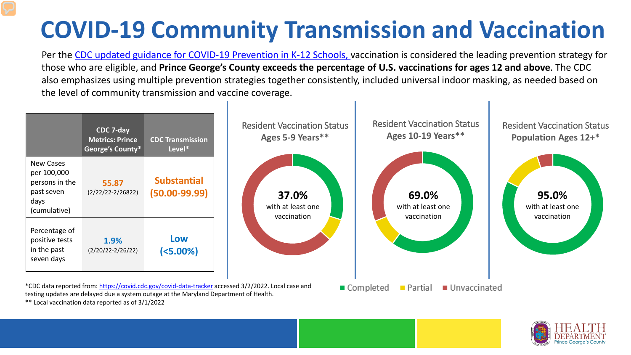# **COVID-19 Community Transmission and Vaccination**

Per the [CDC updated guidance for COVID-19 Prevention in K-12 Schools,](https://www.cdc.gov/coronavirus/2019-ncov/community/schools-childcare/k-12-guidance.html) vaccination is considered the leading prevention strategy for those who are eligible, and **Prince George's County exceeds the percentage of U.S. vaccinations for ages 12 and above**. The CDC also emphasizes using multiple prevention strategies together consistently, included universal indoor masking, as needed based on the level of community transmission and vaccine coverage.



\*\* Local vaccination data reported as of 3/1/2022

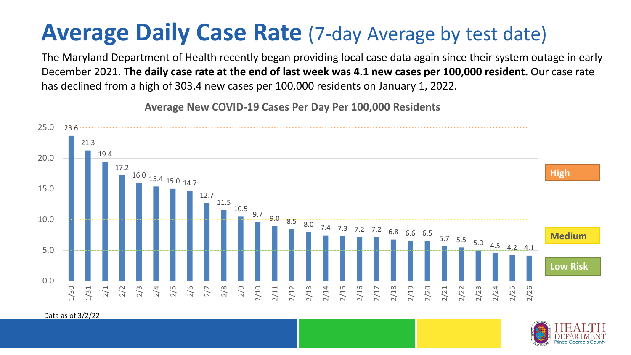## **Average Daily Case Rate** (7-day Average by test date)

The Maryland Department of Health recently began providing local case data again since their system outage in early December 2021. **The daily case rate at the end of last week was 4.1 new cases per 100,000 resident.** Our case rate has declined from a high of 303.4 new cases per 100,000 residents on January 1, 2022.



**Average New COVID-19 Cases Per Day Per 100,000 Residents**

Data as of 3/2/22